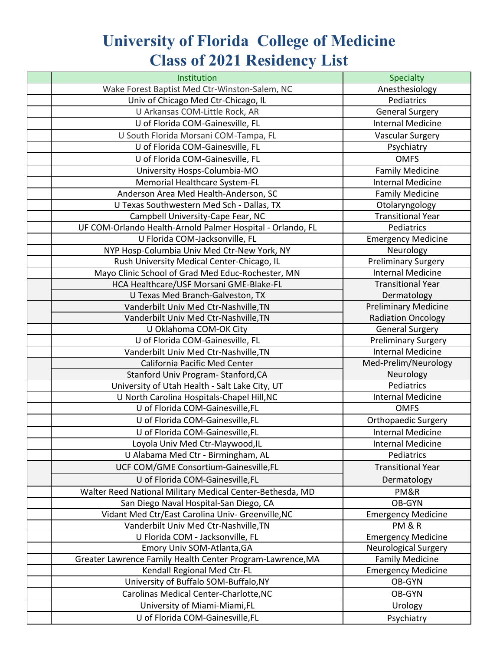## **University of Florida College of Medicine Class of 2021 Residency List**

| Institution                                                | Specialty                   |
|------------------------------------------------------------|-----------------------------|
| Wake Forest Baptist Med Ctr-Winston-Salem, NC              | Anesthesiology              |
| Univ of Chicago Med Ctr-Chicago, IL                        | Pediatrics                  |
| U Arkansas COM-Little Rock, AR                             | <b>General Surgery</b>      |
| U of Florida COM-Gainesville, FL                           | <b>Internal Medicine</b>    |
| U South Florida Morsani COM-Tampa, FL                      | <b>Vascular Surgery</b>     |
| U of Florida COM-Gainesville, FL                           | Psychiatry                  |
| U of Florida COM-Gainesville, FL                           | <b>OMFS</b>                 |
| University Hosps-Columbia-MO                               | <b>Family Medicine</b>      |
| Memorial Healthcare System-FL                              | <b>Internal Medicine</b>    |
| Anderson Area Med Health-Anderson, SC                      | <b>Family Medicine</b>      |
| U Texas Southwestern Med Sch - Dallas, TX                  | Otolaryngology              |
| Campbell University-Cape Fear, NC                          | Transitional Year           |
| UF COM-Orlando Health-Arnold Palmer Hospital - Orlando, FL | Pediatrics                  |
| U Florida COM-Jacksonville, FL                             | <b>Emergency Medicine</b>   |
| NYP Hosp-Columbia Univ Med Ctr-New York, NY                | Neurology                   |
| Rush University Medical Center-Chicago, IL                 | <b>Preliminary Surgery</b>  |
| Mayo Clinic School of Grad Med Educ-Rochester, MN          | <b>Internal Medicine</b>    |
| HCA Healthcare/USF Morsani GME-Blake-FL                    | <b>Transitional Year</b>    |
| U Texas Med Branch-Galveston, TX                           | Dermatology                 |
| Vanderbilt Univ Med Ctr-Nashville, TN                      | <b>Preliminary Medicine</b> |
| Vanderbilt Univ Med Ctr-Nashville, TN                      | <b>Radiation Oncology</b>   |
| U Oklahoma COM-OK City                                     | <b>General Surgery</b>      |
| U of Florida COM-Gainesville, FL                           | <b>Preliminary Surgery</b>  |
| Vanderbilt Univ Med Ctr-Nashville, TN                      | <b>Internal Medicine</b>    |
| California Pacific Med Center                              | Med-Prelim/Neurology        |
| Stanford Univ Program- Stanford, CA                        | Neurology                   |
| University of Utah Health - Salt Lake City, UT             | Pediatrics                  |
| U North Carolina Hospitals-Chapel Hill, NC                 | <b>Internal Medicine</b>    |
| U of Florida COM-Gainesville, FL                           | <b>OMFS</b>                 |
| U of Florida COM-Gainesville, FL                           | <b>Orthopaedic Surgery</b>  |
| U of Florida COM-Gainesville, FL                           | <b>Internal Medicine</b>    |
| Loyola Univ Med Ctr-Maywood, IL                            | <b>Internal Medicine</b>    |
| U Alabama Med Ctr - Birmingham, AL                         | Pediatrics                  |
| UCF COM/GME Consortium-Gainesville,FL                      | <b>Transitional Year</b>    |
| U of Florida COM-Gainesville,FL                            | Dermatology                 |
| Walter Reed National Military Medical Center-Bethesda, MD  | PM&R                        |
| San Diego Naval Hospital-San Diego, CA                     | OB-GYN                      |
| Vidant Med Ctr/East Carolina Univ- Greenville, NC          | <b>Emergency Medicine</b>   |
| Vanderbilt Univ Med Ctr-Nashville, TN                      | PM&R                        |
| U Florida COM - Jacksonville, FL                           | <b>Emergency Medicine</b>   |
| Emory Univ SOM-Atlanta, GA                                 | <b>Neurological Surgery</b> |
| Greater Lawrence Family Health Center Program-Lawrence, MA | <b>Family Medicine</b>      |
| Kendall Regional Med Ctr-FL                                | <b>Emergency Medicine</b>   |
| University of Buffalo SOM-Buffalo, NY                      | OB-GYN                      |
| Carolinas Medical Center-Charlotte, NC                     | OB-GYN                      |
| University of Miami-Miami, FL                              | Urology                     |
| U of Florida COM-Gainesville, FL                           | Psychiatry                  |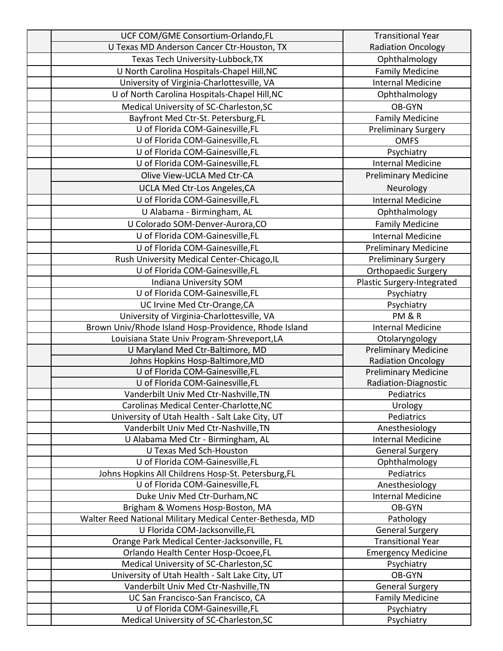| UCF COM/GME Consortium-Orlando,FL                                               | <b>Transitional Year</b>         |
|---------------------------------------------------------------------------------|----------------------------------|
| U Texas MD Anderson Cancer Ctr-Houston, TX                                      | <b>Radiation Oncology</b>        |
| Texas Tech University-Lubbock, TX                                               | Ophthalmology                    |
| U North Carolina Hospitals-Chapel Hill, NC                                      | <b>Family Medicine</b>           |
| University of Virginia-Charlottesville, VA                                      | <b>Internal Medicine</b>         |
| U of North Carolina Hospitals-Chapel Hill, NC                                   | Ophthalmology                    |
| Medical University of SC-Charleston, SC                                         | OB-GYN                           |
| Bayfront Med Ctr-St. Petersburg, FL                                             | <b>Family Medicine</b>           |
| U of Florida COM-Gainesville, FL                                                | <b>Preliminary Surgery</b>       |
| U of Florida COM-Gainesville, FL                                                | <b>OMFS</b>                      |
| U of Florida COM-Gainesville, FL                                                | Psychiatry                       |
| U of Florida COM-Gainesville, FL                                                | <b>Internal Medicine</b>         |
| Olive View-UCLA Med Ctr-CA                                                      | <b>Preliminary Medicine</b>      |
| UCLA Med Ctr-Los Angeles, CA                                                    | Neurology                        |
| U of Florida COM-Gainesville,FL                                                 | <b>Internal Medicine</b>         |
|                                                                                 |                                  |
| U Alabama - Birmingham, AL<br>U Colorado SOM-Denver-Aurora, CO                  | Ophthalmology                    |
|                                                                                 | <b>Family Medicine</b>           |
| U of Florida COM-Gainesville, FL                                                | <b>Internal Medicine</b>         |
| U of Florida COM-Gainesville, FL                                                | <b>Preliminary Medicine</b>      |
| Rush University Medical Center-Chicago, IL                                      | <b>Preliminary Surgery</b>       |
| U of Florida COM-Gainesville, FL                                                | Orthopaedic Surgery              |
| Indiana University SOM                                                          | Plastic Surgery-Integrated       |
| U of Florida COM-Gainesville,FL                                                 | Psychiatry                       |
| UC Irvine Med Ctr-Orange, CA                                                    | Psychiatry                       |
| University of Virginia-Charlottesville, VA                                      | PM&R<br><b>Internal Medicine</b> |
| Brown Univ/Rhode Island Hosp-Providence, Rhode Island                           | Otolaryngology                   |
| Louisiana State Univ Program-Shreveport, LA<br>U Maryland Med Ctr-Baltimore, MD | <b>Preliminary Medicine</b>      |
| Johns Hopkins Hosp-Baltimore, MD                                                | <b>Radiation Oncology</b>        |
| U of Florida COM-Gainesville, FL                                                | <b>Preliminary Medicine</b>      |
| U of Florida COM-Gainesville, FL                                                | Radiation-Diagnostic             |
| Vanderbilt Univ Med Ctr-Nashville, TN                                           | Pediatrics                       |
| Carolinas Medical Center-Charlotte, NC                                          | Urology                          |
| University of Utah Health - Salt Lake City, UT                                  | Pediatrics                       |
| Vanderbilt Univ Med Ctr-Nashville, TN                                           | Anesthesiology                   |
| U Alabama Med Ctr - Birmingham, AL                                              | <b>Internal Medicine</b>         |
| <b>U Texas Med Sch-Houston</b>                                                  | <b>General Surgery</b>           |
| U of Florida COM-Gainesville, FL                                                | Ophthalmology                    |
| Johns Hopkins All Childrens Hosp-St. Petersburg, FL                             | Pediatrics                       |
| U of Florida COM-Gainesville, FL                                                | Anesthesiology                   |
| Duke Univ Med Ctr-Durham, NC                                                    | <b>Internal Medicine</b>         |
| Brigham & Womens Hosp-Boston, MA                                                | OB-GYN                           |
| Walter Reed National Military Medical Center-Bethesda, MD                       | Pathology                        |
| U Florida COM-Jacksonville,FL                                                   | <b>General Surgery</b>           |
| Orange Park Medical Center-Jacksonville, FL                                     | <b>Transitional Year</b>         |
| Orlando Health Center Hosp-Ocoee,FL                                             | <b>Emergency Medicine</b>        |
| Medical University of SC-Charleston, SC                                         | Psychiatry                       |
| University of Utah Health - Salt Lake City, UT                                  | OB-GYN                           |
| Vanderbilt Univ Med Ctr-Nashville, TN                                           | <b>General Surgery</b>           |
| UC San Francisco-San Francisco, CA                                              | <b>Family Medicine</b>           |
| U of Florida COM-Gainesville, FL                                                | Psychiatry                       |
| Medical University of SC-Charleston, SC                                         | Psychiatry                       |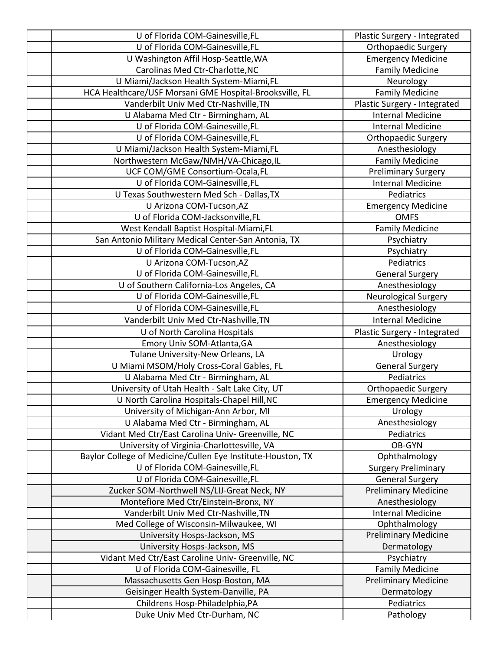| U of Florida COM-Gainesville, FL                                | Plastic Surgery - Integrated |
|-----------------------------------------------------------------|------------------------------|
| U of Florida COM-Gainesville, FL                                | <b>Orthopaedic Surgery</b>   |
| U Washington Affil Hosp-Seattle, WA                             | <b>Emergency Medicine</b>    |
| Carolinas Med Ctr-Charlotte, NC                                 | <b>Family Medicine</b>       |
| U Miami/Jackson Health System-Miami,FL                          | Neurology                    |
| HCA Healthcare/USF Morsani GME Hospital-Brooksville, FL         | <b>Family Medicine</b>       |
| Vanderbilt Univ Med Ctr-Nashville, TN                           | Plastic Surgery - Integrated |
| U Alabama Med Ctr - Birmingham, AL                              | <b>Internal Medicine</b>     |
| U of Florida COM-Gainesville, FL                                | <b>Internal Medicine</b>     |
| U of Florida COM-Gainesville, FL                                | <b>Orthopaedic Surgery</b>   |
| U Miami/Jackson Health System-Miami,FL                          | Anesthesiology               |
| Northwestern McGaw/NMH/VA-Chicago,IL                            | <b>Family Medicine</b>       |
| UCF COM/GME Consortium-Ocala,FL                                 | <b>Preliminary Surgery</b>   |
| U of Florida COM-Gainesville, FL                                | <b>Internal Medicine</b>     |
| U Texas Southwestern Med Sch - Dallas, TX                       | Pediatrics                   |
| U Arizona COM-Tucson, AZ                                        | <b>Emergency Medicine</b>    |
| U of Florida COM-Jacksonville,FL                                | <b>OMFS</b>                  |
| West Kendall Baptist Hospital-Miami,FL                          | <b>Family Medicine</b>       |
| San Antonio Military Medical Center-San Antonia, TX             | Psychiatry                   |
| U of Florida COM-Gainesville, FL                                | Psychiatry                   |
| U Arizona COM-Tucson, AZ                                        | Pediatrics                   |
| U of Florida COM-Gainesville, FL                                | <b>General Surgery</b>       |
| U of Southern California-Los Angeles, CA                        | Anesthesiology               |
| U of Florida COM-Gainesville, FL                                | Neurological Surgery         |
| U of Florida COM-Gainesville, FL                                | Anesthesiology               |
| Vanderbilt Univ Med Ctr-Nashville, TN                           | <b>Internal Medicine</b>     |
| U of North Carolina Hospitals                                   | Plastic Surgery - Integrated |
| Emory Univ SOM-Atlanta, GA                                      | Anesthesiology               |
| Tulane University-New Orleans, LA                               | Urology                      |
| U Miami MSOM/Holy Cross-Coral Gables, FL                        |                              |
|                                                                 | <b>General Surgery</b>       |
| U Alabama Med Ctr - Birmingham, AL                              | Pediatrics                   |
| University of Utah Health - Salt Lake City, UT                  | Orthopaedic Surgery          |
| U North Carolina Hospitals-Chapel Hill, NC                      | <b>Emergency Medicine</b>    |
| University of Michigan-Ann Arbor, MI                            | Urology                      |
| U Alabama Med Ctr - Birmingham, AL                              | Anesthesiology               |
| Vidant Med Ctr/East Carolina Univ- Greenville, NC               | Pediatrics                   |
| University of Virginia-Charlottesville, VA                      | OB-GYN                       |
| Baylor College of Medicine/Cullen Eye Institute-Houston, TX     | Ophthalmology                |
| U of Florida COM-Gainesville, FL                                | <b>Surgery Preliminary</b>   |
| U of Florida COM-Gainesville, FL                                | <b>General Surgery</b>       |
| Zucker SOM-Northwell NS/LIJ-Great Neck, NY                      | <b>Preliminary Medicine</b>  |
| Montefiore Med Ctr/Einstein-Bronx, NY                           | Anesthesiology               |
| Vanderbilt Univ Med Ctr-Nashville, TN                           | <b>Internal Medicine</b>     |
| Med College of Wisconsin-Milwaukee, WI                          | Ophthalmology                |
| University Hosps-Jackson, MS                                    | <b>Preliminary Medicine</b>  |
| University Hosps-Jackson, MS                                    | Dermatology                  |
| Vidant Med Ctr/East Caroline Univ- Greenville, NC               | Psychiatry                   |
| U of Florida COM-Gainesville, FL                                | <b>Family Medicine</b>       |
| Massachusetts Gen Hosp-Boston, MA                               | <b>Preliminary Medicine</b>  |
| Geisinger Health System-Danville, PA                            | Dermatology                  |
| Childrens Hosp-Philadelphia, PA<br>Duke Univ Med Ctr-Durham, NC | Pediatrics<br>Pathology      |